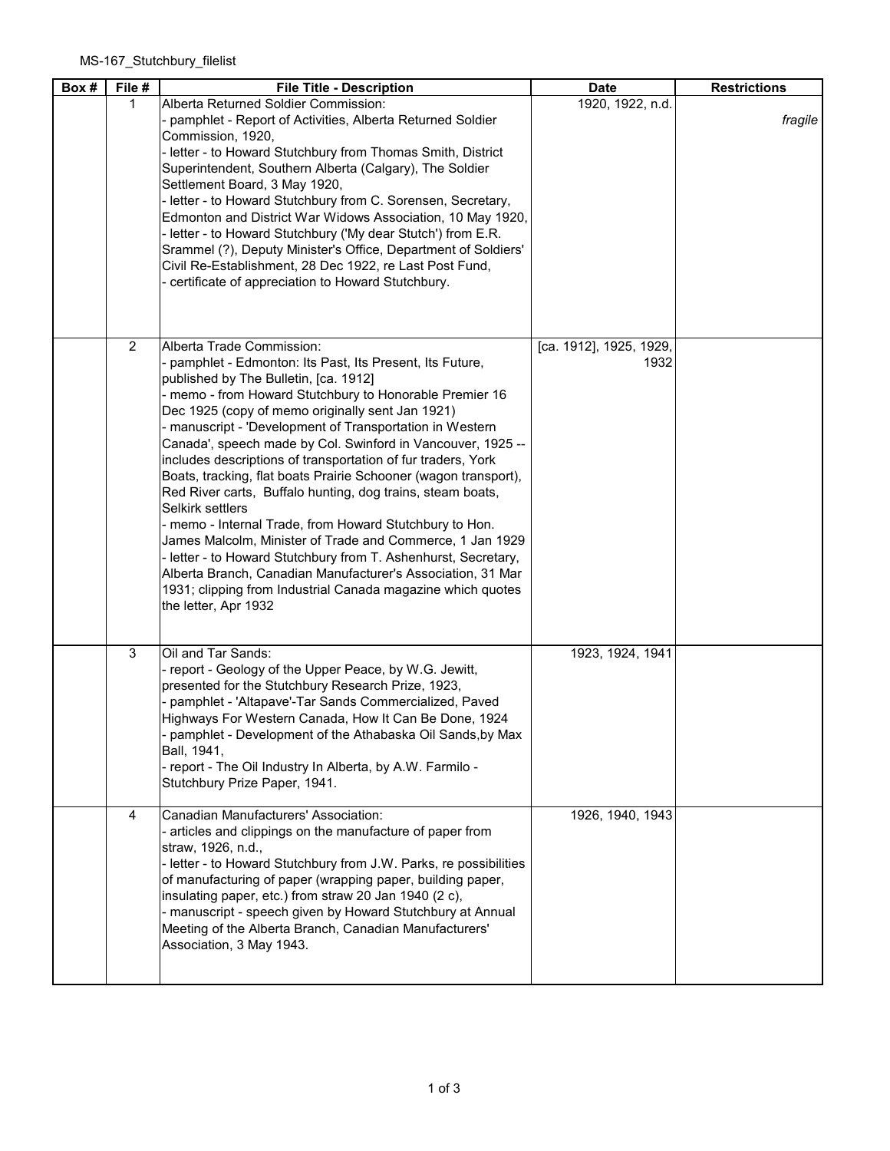| Box # | File #         | <b>File Title - Description</b>                                                                                                                                                                                                                                                                                                                                                                                                                                                                                                                                                                                                                                                                                                                                                                                                                                                                                                                | <b>Date</b>                     | <b>Restrictions</b> |
|-------|----------------|------------------------------------------------------------------------------------------------------------------------------------------------------------------------------------------------------------------------------------------------------------------------------------------------------------------------------------------------------------------------------------------------------------------------------------------------------------------------------------------------------------------------------------------------------------------------------------------------------------------------------------------------------------------------------------------------------------------------------------------------------------------------------------------------------------------------------------------------------------------------------------------------------------------------------------------------|---------------------------------|---------------------|
|       | 1              | Alberta Returned Soldier Commission:                                                                                                                                                                                                                                                                                                                                                                                                                                                                                                                                                                                                                                                                                                                                                                                                                                                                                                           | 1920, 1922, n.d.                |                     |
|       |                | - pamphlet - Report of Activities, Alberta Returned Soldier<br>Commission, 1920,<br>- letter - to Howard Stutchbury from Thomas Smith, District<br>Superintendent, Southern Alberta (Calgary), The Soldier<br>Settlement Board, 3 May 1920,<br>- letter - to Howard Stutchbury from C. Sorensen, Secretary,<br>Edmonton and District War Widows Association, 10 May 1920,<br>- letter - to Howard Stutchbury ('My dear Stutch') from E.R.<br>Srammel (?), Deputy Minister's Office, Department of Soldiers'<br>Civil Re-Establishment, 28 Dec 1922, re Last Post Fund,<br>- certificate of appreciation to Howard Stutchbury.                                                                                                                                                                                                                                                                                                                  |                                 | fragile             |
|       | $\overline{2}$ | Alberta Trade Commission:<br>- pamphlet - Edmonton: Its Past, Its Present, Its Future,<br>published by The Bulletin, [ca. 1912]<br>- memo - from Howard Stutchbury to Honorable Premier 16<br>Dec 1925 (copy of memo originally sent Jan 1921)<br>- manuscript - 'Development of Transportation in Western<br>Canada', speech made by Col. Swinford in Vancouver, 1925 --<br>includes descriptions of transportation of fur traders, York<br>Boats, tracking, flat boats Prairie Schooner (wagon transport),<br>Red River carts, Buffalo hunting, dog trains, steam boats,<br>Selkirk settlers<br>- memo - Internal Trade, from Howard Stutchbury to Hon.<br>James Malcolm, Minister of Trade and Commerce, 1 Jan 1929<br>- letter - to Howard Stutchbury from T. Ashenhurst, Secretary,<br>Alberta Branch, Canadian Manufacturer's Association, 31 Mar<br>1931; clipping from Industrial Canada magazine which quotes<br>the letter, Apr 1932 | [ca. 1912], 1925, 1929,<br>1932 |                     |
|       | 3              | Oil and Tar Sands:<br>- report - Geology of the Upper Peace, by W.G. Jewitt,<br>presented for the Stutchbury Research Prize, 1923,<br>pamphlet - 'Altapave'-Tar Sands Commercialized, Paved<br>Highways For Western Canada, How It Can Be Done, 1924<br>- pamphlet - Development of the Athabaska Oil Sands, by Max<br>Ball, 1941,<br>- report - The Oil Industry In Alberta, by A.W. Farmilo -<br>Stutchbury Prize Paper, 1941.                                                                                                                                                                                                                                                                                                                                                                                                                                                                                                               | 1923, 1924, 1941                |                     |
|       | 4              | Canadian Manufacturers' Association:<br>- articles and clippings on the manufacture of paper from<br>straw, 1926, n.d.,<br>- letter - to Howard Stutchbury from J.W. Parks, re possibilities<br>of manufacturing of paper (wrapping paper, building paper,<br>insulating paper, etc.) from straw 20 Jan 1940 (2 c),<br>- manuscript - speech given by Howard Stutchbury at Annual<br>Meeting of the Alberta Branch, Canadian Manufacturers'<br>Association, 3 May 1943.                                                                                                                                                                                                                                                                                                                                                                                                                                                                        | 1926, 1940, 1943                |                     |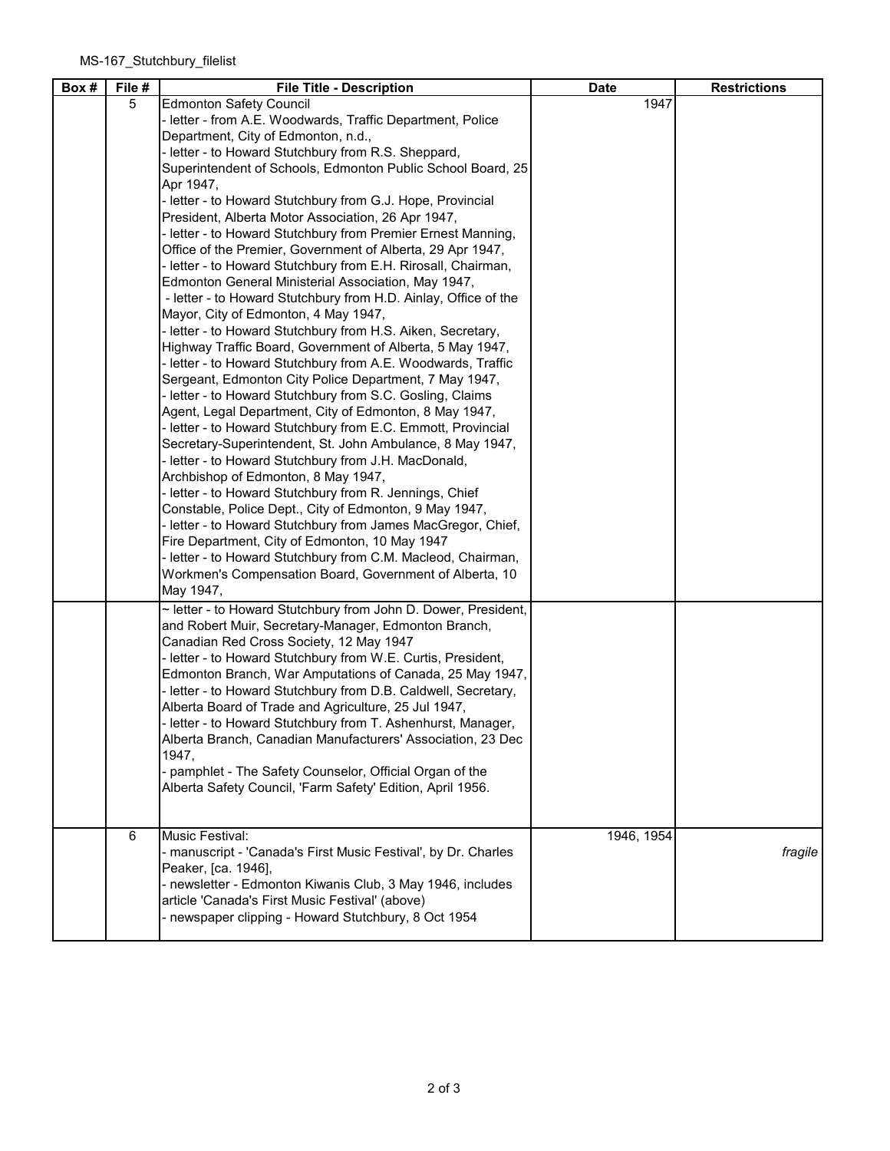| Box # | File # | <b>File Title - Description</b>                                                                                                                                                                                                                                                                                                                                                                                                                                                                                                                                                                                                                                                                                                                                                                                                                                                                                                                                                                                                                                                                                                                                                                                                                                                                                                                                                                                                                                                                                                                                                                                                                                                                                                                     | <b>Date</b> | <b>Restrictions</b> |
|-------|--------|-----------------------------------------------------------------------------------------------------------------------------------------------------------------------------------------------------------------------------------------------------------------------------------------------------------------------------------------------------------------------------------------------------------------------------------------------------------------------------------------------------------------------------------------------------------------------------------------------------------------------------------------------------------------------------------------------------------------------------------------------------------------------------------------------------------------------------------------------------------------------------------------------------------------------------------------------------------------------------------------------------------------------------------------------------------------------------------------------------------------------------------------------------------------------------------------------------------------------------------------------------------------------------------------------------------------------------------------------------------------------------------------------------------------------------------------------------------------------------------------------------------------------------------------------------------------------------------------------------------------------------------------------------------------------------------------------------------------------------------------------------|-------------|---------------------|
|       | 5      | <b>Edmonton Safety Council</b><br>- letter - from A.E. Woodwards, Traffic Department, Police<br>Department, City of Edmonton, n.d.,<br>- letter - to Howard Stutchbury from R.S. Sheppard,<br>Superintendent of Schools, Edmonton Public School Board, 25<br>Apr 1947,<br>- letter - to Howard Stutchbury from G.J. Hope, Provincial<br>President, Alberta Motor Association, 26 Apr 1947,<br>- letter - to Howard Stutchbury from Premier Ernest Manning,<br>Office of the Premier, Government of Alberta, 29 Apr 1947,<br>- letter - to Howard Stutchbury from E.H. Rirosall, Chairman,<br>Edmonton General Ministerial Association, May 1947,<br>- letter - to Howard Stutchbury from H.D. Ainlay, Office of the<br>Mayor, City of Edmonton, 4 May 1947,<br>- letter - to Howard Stutchbury from H.S. Aiken, Secretary,<br>Highway Traffic Board, Government of Alberta, 5 May 1947,<br>- letter - to Howard Stutchbury from A.E. Woodwards, Traffic<br>Sergeant, Edmonton City Police Department, 7 May 1947,<br>- letter - to Howard Stutchbury from S.C. Gosling, Claims<br>Agent, Legal Department, City of Edmonton, 8 May 1947,<br>- letter - to Howard Stutchbury from E.C. Emmott, Provincial<br>Secretary-Superintendent, St. John Ambulance, 8 May 1947,<br>- letter - to Howard Stutchbury from J.H. MacDonald,<br>Archbishop of Edmonton, 8 May 1947,<br>- letter - to Howard Stutchbury from R. Jennings, Chief<br>Constable, Police Dept., City of Edmonton, 9 May 1947,<br>- letter - to Howard Stutchbury from James MacGregor, Chief,<br>Fire Department, City of Edmonton, 10 May 1947<br>- letter - to Howard Stutchbury from C.M. Macleod, Chairman,<br>Workmen's Compensation Board, Government of Alberta, 10<br>May 1947, | 1947        |                     |
|       |        | ~ letter - to Howard Stutchbury from John D. Dower, President,<br>and Robert Muir, Secretary-Manager, Edmonton Branch,<br>Canadian Red Cross Society, 12 May 1947<br>- letter - to Howard Stutchbury from W.E. Curtis, President,<br>Edmonton Branch, War Amputations of Canada, 25 May 1947,<br>- letter - to Howard Stutchbury from D.B. Caldwell, Secretary,<br>Alberta Board of Trade and Agriculture, 25 Jul 1947,<br>- letter - to Howard Stutchbury from T. Ashenhurst, Manager,<br>Alberta Branch, Canadian Manufacturers' Association, 23 Dec<br>1947,<br>- pamphlet - The Safety Counselor, Official Organ of the<br>Alberta Safety Council, 'Farm Safety' Edition, April 1956.                                                                                                                                                                                                                                                                                                                                                                                                                                                                                                                                                                                                                                                                                                                                                                                                                                                                                                                                                                                                                                                           |             |                     |
|       | 6      | Music Festival:<br>- manuscript - 'Canada's First Music Festival', by Dr. Charles<br>Peaker, [ca. 1946],<br>- newsletter - Edmonton Kiwanis Club, 3 May 1946, includes<br>article 'Canada's First Music Festival' (above)<br>- newspaper clipping - Howard Stutchbury, 8 Oct 1954                                                                                                                                                                                                                                                                                                                                                                                                                                                                                                                                                                                                                                                                                                                                                                                                                                                                                                                                                                                                                                                                                                                                                                                                                                                                                                                                                                                                                                                                   | 1946, 1954  | fragile             |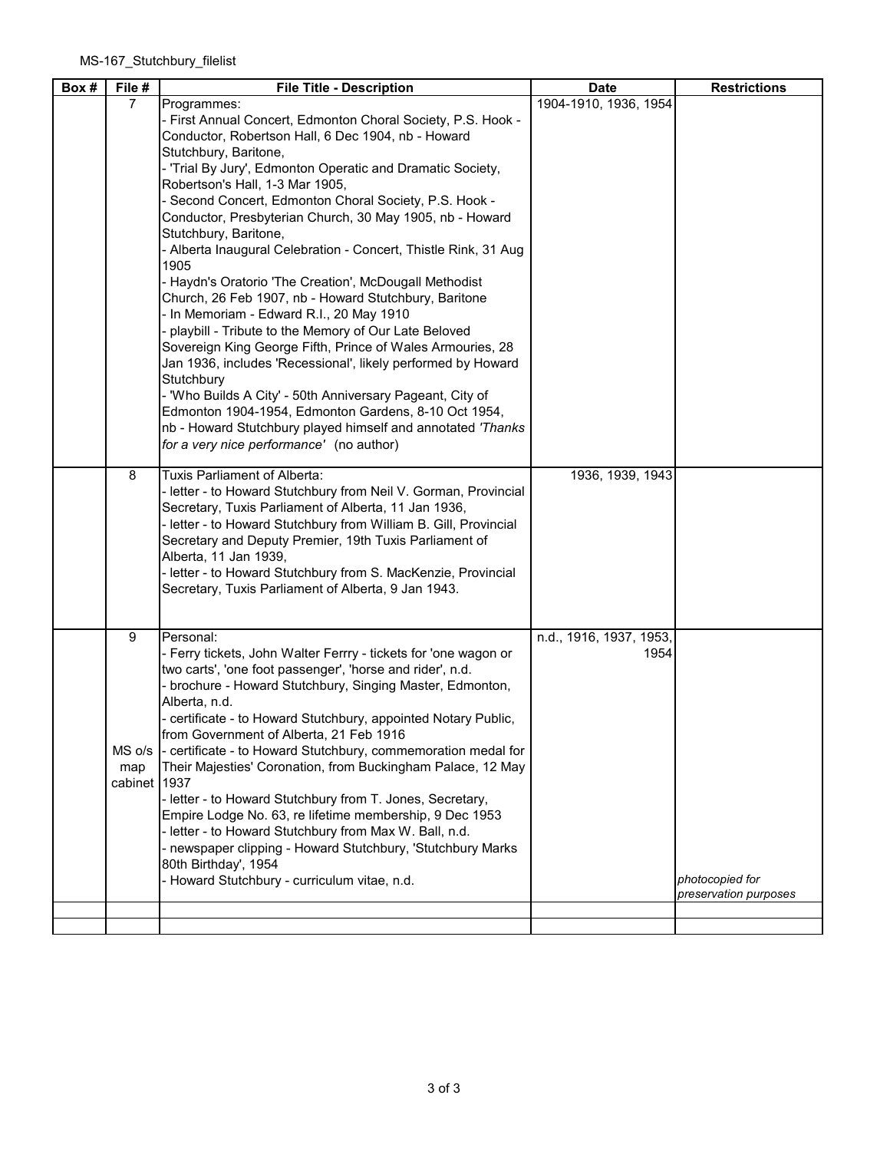| Box # | File #       | <b>File Title - Description</b>                                                                                            | <b>Date</b>             | <b>Restrictions</b>                      |
|-------|--------------|----------------------------------------------------------------------------------------------------------------------------|-------------------------|------------------------------------------|
|       | 7            | Programmes:                                                                                                                | 1904-1910, 1936, 1954   |                                          |
|       |              | - First Annual Concert, Edmonton Choral Society, P.S. Hook -<br>Conductor, Robertson Hall, 6 Dec 1904, nb - Howard         |                         |                                          |
|       |              | Stutchbury, Baritone,                                                                                                      |                         |                                          |
|       |              | - 'Trial By Jury', Edmonton Operatic and Dramatic Society,                                                                 |                         |                                          |
|       |              | Robertson's Hall, 1-3 Mar 1905,                                                                                            |                         |                                          |
|       |              | - Second Concert, Edmonton Choral Society, P.S. Hook -                                                                     |                         |                                          |
|       |              | Conductor, Presbyterian Church, 30 May 1905, nb - Howard                                                                   |                         |                                          |
|       |              | Stutchbury, Baritone,<br>- Alberta Inaugural Celebration - Concert, Thistle Rink, 31 Aug                                   |                         |                                          |
|       |              | 1905                                                                                                                       |                         |                                          |
|       |              | - Haydn's Oratorio 'The Creation', McDougall Methodist                                                                     |                         |                                          |
|       |              | Church, 26 Feb 1907, nb - Howard Stutchbury, Baritone                                                                      |                         |                                          |
|       |              | - In Memoriam - Edward R.I., 20 May 1910                                                                                   |                         |                                          |
|       |              | - playbill - Tribute to the Memory of Our Late Beloved                                                                     |                         |                                          |
|       |              | Sovereign King George Fifth, Prince of Wales Armouries, 28<br>Jan 1936, includes 'Recessional', likely performed by Howard |                         |                                          |
|       |              | Stutchbury                                                                                                                 |                         |                                          |
|       |              | - 'Who Builds A City' - 50th Anniversary Pageant, City of                                                                  |                         |                                          |
|       |              | Edmonton 1904-1954, Edmonton Gardens, 8-10 Oct 1954,                                                                       |                         |                                          |
|       |              | nb - Howard Stutchbury played himself and annotated 'Thanks                                                                |                         |                                          |
|       |              | for a very nice performance' (no author)                                                                                   |                         |                                          |
|       | 8            | Tuxis Parliament of Alberta:                                                                                               | 1936, 1939, 1943        |                                          |
|       |              | - letter - to Howard Stutchbury from Neil V. Gorman, Provincial                                                            |                         |                                          |
|       |              | Secretary, Tuxis Parliament of Alberta, 11 Jan 1936,                                                                       |                         |                                          |
|       |              | - letter - to Howard Stutchbury from William B. Gill, Provincial<br>Secretary and Deputy Premier, 19th Tuxis Parliament of |                         |                                          |
|       |              | Alberta, 11 Jan 1939,                                                                                                      |                         |                                          |
|       |              | - letter - to Howard Stutchbury from S. MacKenzie, Provincial                                                              |                         |                                          |
|       |              | Secretary, Tuxis Parliament of Alberta, 9 Jan 1943.                                                                        |                         |                                          |
|       |              |                                                                                                                            |                         |                                          |
|       | 9            | Personal:                                                                                                                  | n.d., 1916, 1937, 1953, |                                          |
|       |              | - Ferry tickets, John Walter Ferrry - tickets for 'one wagon or                                                            | 1954                    |                                          |
|       |              | two carts', 'one foot passenger', 'horse and rider', n.d.                                                                  |                         |                                          |
|       |              | - brochure - Howard Stutchbury, Singing Master, Edmonton,<br>Alberta, n.d.                                                 |                         |                                          |
|       |              | - certificate - to Howard Stutchbury, appointed Notary Public,                                                             |                         |                                          |
|       |              | from Government of Alberta, 21 Feb 1916                                                                                    |                         |                                          |
|       | $MS$ o/s     | - certificate - to Howard Stutchbury, commemoration medal for                                                              |                         |                                          |
|       | map          | Their Majesties' Coronation, from Buckingham Palace, 12 May                                                                |                         |                                          |
|       | cabinet 1937 |                                                                                                                            |                         |                                          |
|       |              | - letter - to Howard Stutchbury from T. Jones, Secretary,<br>Empire Lodge No. 63, re lifetime membership, 9 Dec 1953       |                         |                                          |
|       |              | - letter - to Howard Stutchbury from Max W. Ball, n.d.                                                                     |                         |                                          |
|       |              | - newspaper clipping - Howard Stutchbury, 'Stutchbury Marks                                                                |                         |                                          |
|       |              | 80th Birthday', 1954                                                                                                       |                         |                                          |
|       |              | - Howard Stutchbury - curriculum vitae, n.d.                                                                               |                         | photocopied for<br>preservation purposes |
|       |              |                                                                                                                            |                         |                                          |
|       |              |                                                                                                                            |                         |                                          |